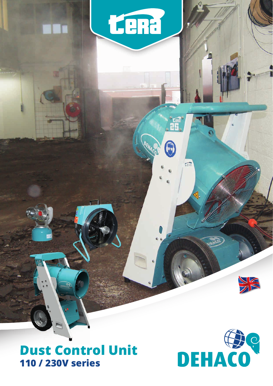### **Dust Control Unit 110 / 230V series**

tena

G

 $\sqrt{2}$ 



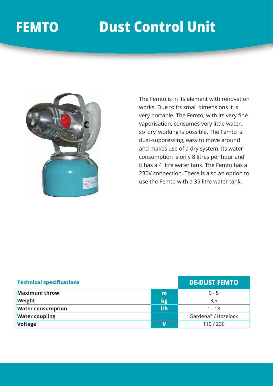### **FEMTO Dust Control Unit**



The Femto is in its element with renovation works. Due to its small dimensions it is very portable. The Femto, with its very fine vaporisation, consumes very little water, so 'dry' working is possible. The Femto is dust-suppressing, easy to move around and makes use of a dry system. Its water consumption is only 8 litres per hour and it has a 4 litre water tank. The Femto has a 230V connection. There is also an option to use the Femto with a 35 litre water tank.

| <b>Technical specifications</b> |     | <b>DE-DUST FEMTO</b> |
|---------------------------------|-----|----------------------|
| <b>Maximum throw</b>            | m   | $0 - 5$              |
| Weight                          | kg  | 3,5                  |
| <b>Water consumption</b>        | 1/h | $1 - 18$             |
| <b>Water coupling</b>           |     | Gardena® / Hozelock  |
| <b>Voltage</b>                  | V   | 110/230              |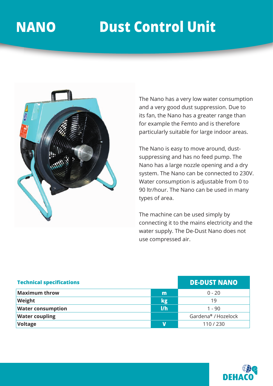## **FEMTO Dust Control Unit NANO Dust Control Unit**



The Nano has a very low water consumption and a very good dust suppression. Due to its fan, the Nano has a greater range than for example the Femto and is therefore particularly suitable for large indoor areas.

The Nano is easy to move around, dustsuppressing and has no feed pump. The Nano has a large nozzle opening and a dry system. The Nano can be connected to 230V. Water consumption is adjustable from 0 to 90 ltr/hour. The Nano can be used in many types of area.

The machine can be used simply by connecting it to the mains electricity and the water supply. The De-Dust Nano does not use compressed air.

| <b>Technical specifications</b> |     | <b>DE-DUST NANO</b> |
|---------------------------------|-----|---------------------|
| <b>Maximum throw</b>            | m   | $0 - 20$            |
| Weight                          | kg  | 19                  |
| <b>Water consumption</b>        | 1/h | $1 - 90$            |
| <b>Water coupling</b>           |     | Gardena® / Hozelock |
| <b>Voltage</b>                  | V   | 110/230             |